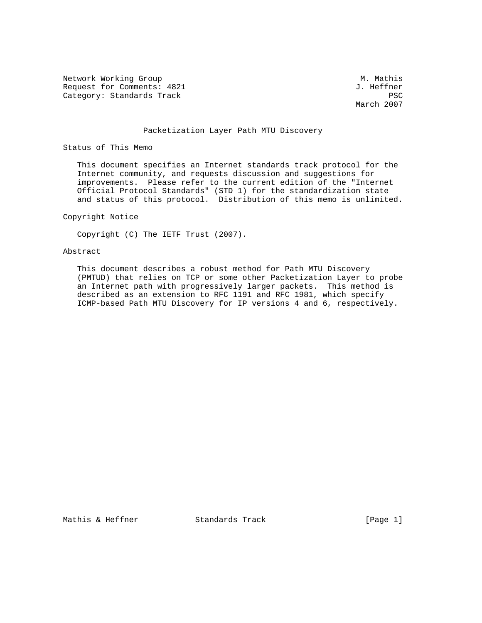Network Working Group Methods and Museum M. Mathis Request for Comments: 4821 J. Heffner Category: Standards Track PSC

March 2007

#### Packetization Layer Path MTU Discovery

Status of This Memo

 This document specifies an Internet standards track protocol for the Internet community, and requests discussion and suggestions for improvements. Please refer to the current edition of the "Internet Official Protocol Standards" (STD 1) for the standardization state and status of this protocol. Distribution of this memo is unlimited.

#### Copyright Notice

Copyright (C) The IETF Trust (2007).

## Abstract

 This document describes a robust method for Path MTU Discovery (PMTUD) that relies on TCP or some other Packetization Layer to probe an Internet path with progressively larger packets. This method is described as an extension to RFC 1191 and RFC 1981, which specify ICMP-based Path MTU Discovery for IP versions 4 and 6, respectively.

Mathis & Heffner Standards Track [Page 1]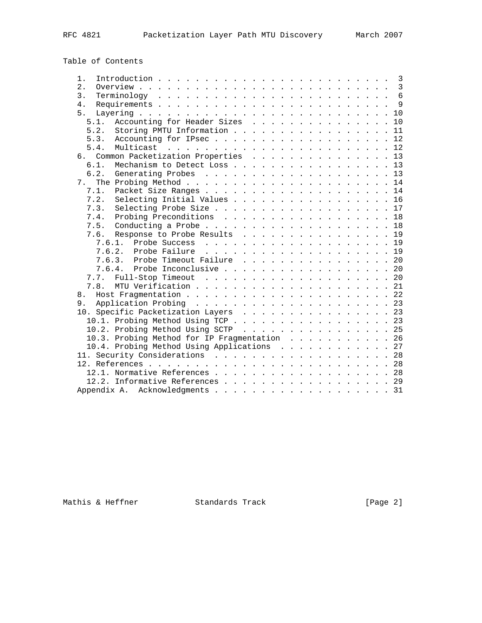# Table of Contents

| 1.               |                                              |  |  | $\overline{3}$ |
|------------------|----------------------------------------------|--|--|----------------|
| $\overline{2}$ . |                                              |  |  | $\overline{3}$ |
| 3.               |                                              |  |  | $\overline{6}$ |
| 4.               |                                              |  |  | 9              |
| 5.               |                                              |  |  |                |
| 5.1.             | Accounting for Header Sizes 10               |  |  |                |
| 5.2.             | Storing PMTU Information 11                  |  |  |                |
| 5.3.             | Accounting for IPsec12                       |  |  |                |
| 5.4.             |                                              |  |  |                |
|                  | 6. Common Packetization Properties 13        |  |  |                |
| 6.1.             | Mechanism to Detect Loss 13                  |  |  |                |
| 6.2.             | Generating Probes 13                         |  |  |                |
| 7 <sub>1</sub>   |                                              |  |  |                |
| 7.1.             | Packet Size Ranges 14                        |  |  |                |
| 7.2.             | Selecting Initial Values 16                  |  |  |                |
| 7.3.             | Selecting Probe Size 17                      |  |  |                |
| 7.4.             | Probing Preconditions 18                     |  |  |                |
| 7.5.             |                                              |  |  |                |
| 7.6.             | Response to Probe Results 19                 |  |  |                |
| 7.6.1.           |                                              |  |  |                |
|                  | 7.6.2.                                       |  |  |                |
|                  | 7.6.3. Probe Timeout Failure 20              |  |  |                |
| 7.6.4.           | Probe Inconclusive 20                        |  |  |                |
| 7.7.             | Full-Stop Timeout 20                         |  |  |                |
| 7.8.             |                                              |  |  |                |
| 8.               |                                              |  |  |                |
| 9.               |                                              |  |  |                |
|                  | 10. Specific Packetization Layers 23         |  |  |                |
|                  | 10.1. Probing Method Using TCP 23            |  |  |                |
|                  | 10.2. Probing Method Using SCTP 25           |  |  |                |
|                  | 10.3. Probing Method for IP Fragmentation 26 |  |  |                |
|                  | 10.4. Probing Method Using Applications 27   |  |  |                |
|                  | 11. Security Considerations 28               |  |  |                |
|                  |                                              |  |  |                |
|                  | 12.1. Normative References 28                |  |  |                |
|                  | 12.2. Informative References 29              |  |  |                |
|                  |                                              |  |  |                |
|                  | Appendix A. Acknowledgments 31               |  |  |                |

Mathis & Heffner Standards Track [Page 2]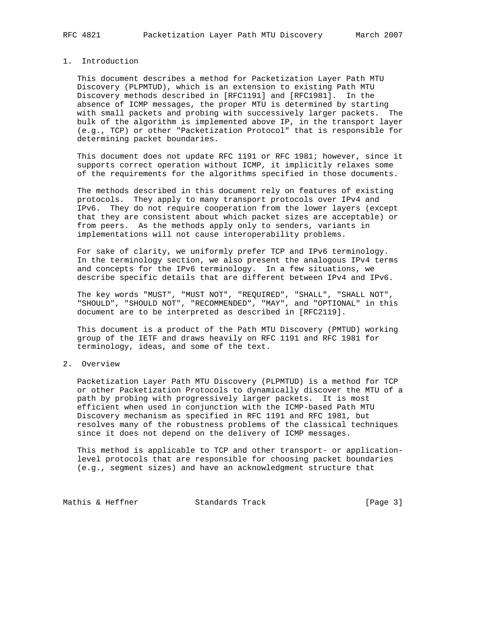## 1. Introduction

 This document describes a method for Packetization Layer Path MTU Discovery (PLPMTUD), which is an extension to existing Path MTU Discovery methods described in [RFC1191] and [RFC1981]. In the absence of ICMP messages, the proper MTU is determined by starting with small packets and probing with successively larger packets. The bulk of the algorithm is implemented above IP, in the transport layer (e.g., TCP) or other "Packetization Protocol" that is responsible for determining packet boundaries.

 This document does not update RFC 1191 or RFC 1981; however, since it supports correct operation without ICMP, it implicitly relaxes some of the requirements for the algorithms specified in those documents.

 The methods described in this document rely on features of existing protocols. They apply to many transport protocols over IPv4 and IPv6. They do not require cooperation from the lower layers (except that they are consistent about which packet sizes are acceptable) or from peers. As the methods apply only to senders, variants in implementations will not cause interoperability problems.

 For sake of clarity, we uniformly prefer TCP and IPv6 terminology. In the terminology section, we also present the analogous IPv4 terms and concepts for the IPv6 terminology. In a few situations, we describe specific details that are different between IPv4 and IPv6.

 The key words "MUST", "MUST NOT", "REQUIRED", "SHALL", "SHALL NOT", "SHOULD", "SHOULD NOT", "RECOMMENDED", "MAY", and "OPTIONAL" in this document are to be interpreted as described in [RFC2119].

 This document is a product of the Path MTU Discovery (PMTUD) working group of the IETF and draws heavily on RFC 1191 and RFC 1981 for terminology, ideas, and some of the text.

#### 2. Overview

 Packetization Layer Path MTU Discovery (PLPMTUD) is a method for TCP or other Packetization Protocols to dynamically discover the MTU of a path by probing with progressively larger packets. It is most efficient when used in conjunction with the ICMP-based Path MTU Discovery mechanism as specified in RFC 1191 and RFC 1981, but resolves many of the robustness problems of the classical techniques since it does not depend on the delivery of ICMP messages.

 This method is applicable to TCP and other transport- or application level protocols that are responsible for choosing packet boundaries (e.g., segment sizes) and have an acknowledgment structure that

Mathis & Heffner Standards Track [Page 3]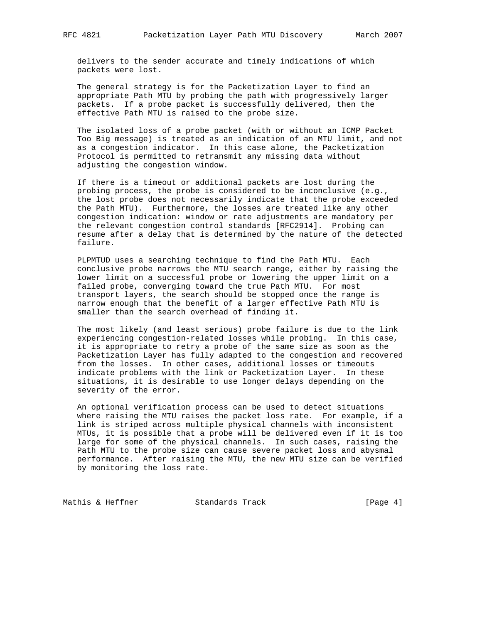delivers to the sender accurate and timely indications of which packets were lost.

 The general strategy is for the Packetization Layer to find an appropriate Path MTU by probing the path with progressively larger packets. If a probe packet is successfully delivered, then the effective Path MTU is raised to the probe size.

 The isolated loss of a probe packet (with or without an ICMP Packet Too Big message) is treated as an indication of an MTU limit, and not as a congestion indicator. In this case alone, the Packetization Protocol is permitted to retransmit any missing data without adjusting the congestion window.

 If there is a timeout or additional packets are lost during the probing process, the probe is considered to be inconclusive (e.g., the lost probe does not necessarily indicate that the probe exceeded the Path MTU). Furthermore, the losses are treated like any other congestion indication: window or rate adjustments are mandatory per the relevant congestion control standards [RFC2914]. Probing can resume after a delay that is determined by the nature of the detected failure.

 PLPMTUD uses a searching technique to find the Path MTU. Each conclusive probe narrows the MTU search range, either by raising the lower limit on a successful probe or lowering the upper limit on a failed probe, converging toward the true Path MTU. For most transport layers, the search should be stopped once the range is narrow enough that the benefit of a larger effective Path MTU is smaller than the search overhead of finding it.

 The most likely (and least serious) probe failure is due to the link experiencing congestion-related losses while probing. In this case, it is appropriate to retry a probe of the same size as soon as the Packetization Layer has fully adapted to the congestion and recovered from the losses. In other cases, additional losses or timeouts indicate problems with the link or Packetization Layer. In these situations, it is desirable to use longer delays depending on the severity of the error.

 An optional verification process can be used to detect situations where raising the MTU raises the packet loss rate. For example, if a link is striped across multiple physical channels with inconsistent MTUs, it is possible that a probe will be delivered even if it is too large for some of the physical channels. In such cases, raising the Path MTU to the probe size can cause severe packet loss and abysmal performance. After raising the MTU, the new MTU size can be verified by monitoring the loss rate.

Mathis & Heffner Standards Track [Page 4]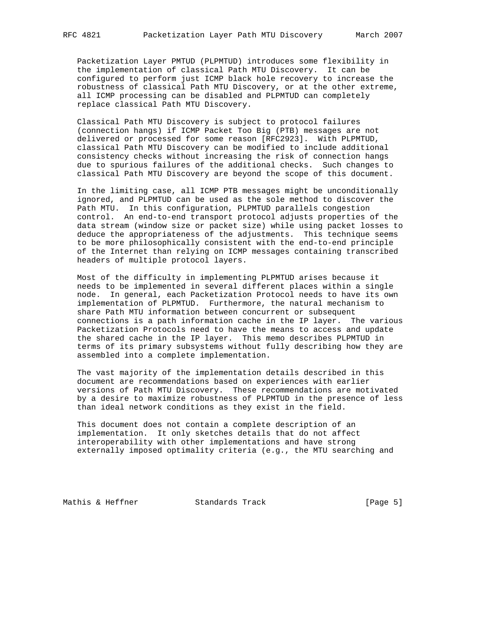Packetization Layer PMTUD (PLPMTUD) introduces some flexibility in the implementation of classical Path MTU Discovery. It can be configured to perform just ICMP black hole recovery to increase the robustness of classical Path MTU Discovery, or at the other extreme, all ICMP processing can be disabled and PLPMTUD can completely replace classical Path MTU Discovery.

 Classical Path MTU Discovery is subject to protocol failures (connection hangs) if ICMP Packet Too Big (PTB) messages are not delivered or processed for some reason [RFC2923]. With PLPMTUD, classical Path MTU Discovery can be modified to include additional consistency checks without increasing the risk of connection hangs due to spurious failures of the additional checks. Such changes to classical Path MTU Discovery are beyond the scope of this document.

 In the limiting case, all ICMP PTB messages might be unconditionally ignored, and PLPMTUD can be used as the sole method to discover the Path MTU. In this configuration, PLPMTUD parallels congestion control. An end-to-end transport protocol adjusts properties of the data stream (window size or packet size) while using packet losses to deduce the appropriateness of the adjustments. This technique seems to be more philosophically consistent with the end-to-end principle of the Internet than relying on ICMP messages containing transcribed headers of multiple protocol layers.

 Most of the difficulty in implementing PLPMTUD arises because it needs to be implemented in several different places within a single node. In general, each Packetization Protocol needs to have its own implementation of PLPMTUD. Furthermore, the natural mechanism to share Path MTU information between concurrent or subsequent connections is a path information cache in the IP layer. The various Packetization Protocols need to have the means to access and update the shared cache in the IP layer. This memo describes PLPMTUD in terms of its primary subsystems without fully describing how they are assembled into a complete implementation.

 The vast majority of the implementation details described in this document are recommendations based on experiences with earlier versions of Path MTU Discovery. These recommendations are motivated by a desire to maximize robustness of PLPMTUD in the presence of less than ideal network conditions as they exist in the field.

 This document does not contain a complete description of an implementation. It only sketches details that do not affect interoperability with other implementations and have strong externally imposed optimality criteria (e.g., the MTU searching and

Mathis & Heffner Standards Track [Page 5]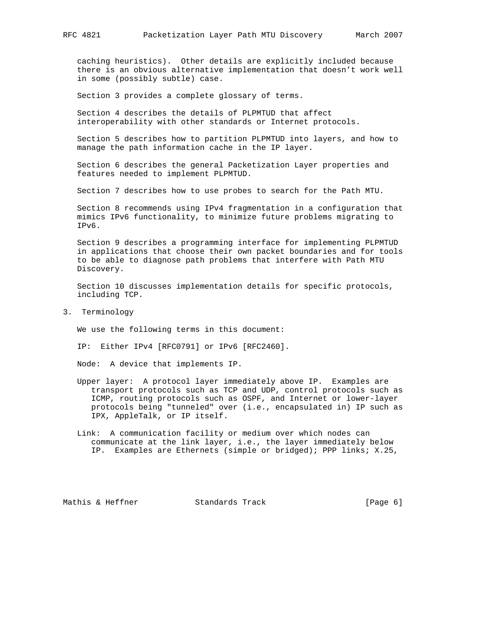caching heuristics). Other details are explicitly included because there is an obvious alternative implementation that doesn't work well in some (possibly subtle) case.

Section 3 provides a complete glossary of terms.

 Section 4 describes the details of PLPMTUD that affect interoperability with other standards or Internet protocols.

 Section 5 describes how to partition PLPMTUD into layers, and how to manage the path information cache in the IP layer.

 Section 6 describes the general Packetization Layer properties and features needed to implement PLPMTUD.

Section 7 describes how to use probes to search for the Path MTU.

 Section 8 recommends using IPv4 fragmentation in a configuration that mimics IPv6 functionality, to minimize future problems migrating to IPv6.

 Section 9 describes a programming interface for implementing PLPMTUD in applications that choose their own packet boundaries and for tools to be able to diagnose path problems that interfere with Path MTU Discovery.

 Section 10 discusses implementation details for specific protocols, including TCP.

3. Terminology

We use the following terms in this document:

IP: Either IPv4 [RFC0791] or IPv6 [RFC2460].

Node: A device that implements IP.

- Upper layer: A protocol layer immediately above IP. Examples are transport protocols such as TCP and UDP, control protocols such as ICMP, routing protocols such as OSPF, and Internet or lower-layer protocols being "tunneled" over (i.e., encapsulated in) IP such as IPX, AppleTalk, or IP itself.
- Link: A communication facility or medium over which nodes can communicate at the link layer, i.e., the layer immediately below IP. Examples are Ethernets (simple or bridged); PPP links; X.25,

Mathis & Heffner Standards Track [Page 6]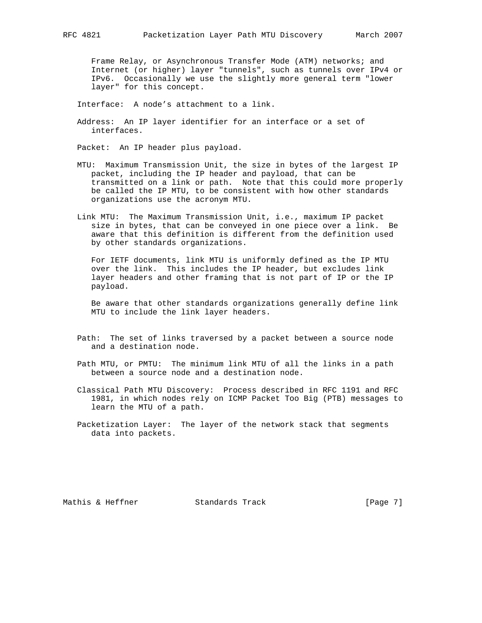Frame Relay, or Asynchronous Transfer Mode (ATM) networks; and Internet (or higher) layer "tunnels", such as tunnels over IPv4 or IPv6. Occasionally we use the slightly more general term "lower layer" for this concept.

Interface: A node's attachment to a link.

 Address: An IP layer identifier for an interface or a set of interfaces.

Packet: An IP header plus payload.

- MTU: Maximum Transmission Unit, the size in bytes of the largest IP packet, including the IP header and payload, that can be transmitted on a link or path. Note that this could more properly be called the IP MTU, to be consistent with how other standards organizations use the acronym MTU.
- Link MTU: The Maximum Transmission Unit, i.e., maximum IP packet size in bytes, that can be conveyed in one piece over a link. Be aware that this definition is different from the definition used by other standards organizations.

 For IETF documents, link MTU is uniformly defined as the IP MTU over the link. This includes the IP header, but excludes link layer headers and other framing that is not part of IP or the IP payload.

 Be aware that other standards organizations generally define link MTU to include the link layer headers.

- Path: The set of links traversed by a packet between a source node and a destination node.
- Path MTU, or PMTU: The minimum link MTU of all the links in a path between a source node and a destination node.
- Classical Path MTU Discovery: Process described in RFC 1191 and RFC 1981, in which nodes rely on ICMP Packet Too Big (PTB) messages to learn the MTU of a path.
- Packetization Layer: The layer of the network stack that segments data into packets.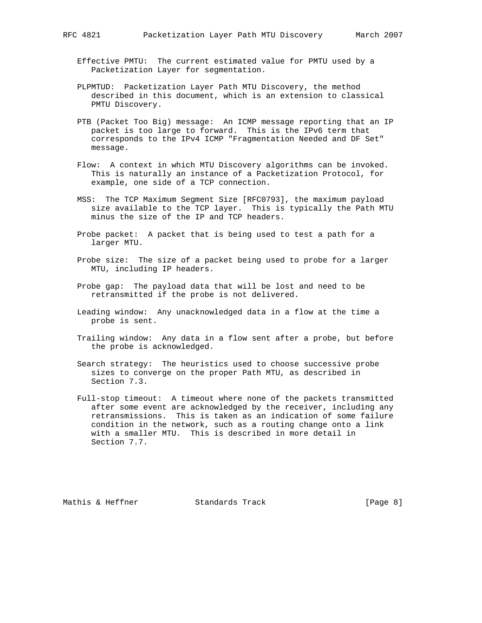- Effective PMTU: The current estimated value for PMTU used by a Packetization Layer for segmentation.
- PLPMTUD: Packetization Layer Path MTU Discovery, the method described in this document, which is an extension to classical PMTU Discovery.
- PTB (Packet Too Big) message: An ICMP message reporting that an IP packet is too large to forward. This is the IPv6 term that corresponds to the IPv4 ICMP "Fragmentation Needed and DF Set" message.
- Flow: A context in which MTU Discovery algorithms can be invoked. This is naturally an instance of a Packetization Protocol, for example, one side of a TCP connection.
- MSS: The TCP Maximum Segment Size [RFC0793], the maximum payload size available to the TCP layer. This is typically the Path MTU minus the size of the IP and TCP headers.
- Probe packet: A packet that is being used to test a path for a larger MTU.
- Probe size: The size of a packet being used to probe for a larger MTU, including IP headers.
- Probe gap: The payload data that will be lost and need to be retransmitted if the probe is not delivered.
- Leading window: Any unacknowledged data in a flow at the time a probe is sent.
- Trailing window: Any data in a flow sent after a probe, but before the probe is acknowledged.
- Search strategy: The heuristics used to choose successive probe sizes to converge on the proper Path MTU, as described in Section 7.3.
- Full-stop timeout: A timeout where none of the packets transmitted after some event are acknowledged by the receiver, including any retransmissions. This is taken as an indication of some failure condition in the network, such as a routing change onto a link with a smaller MTU. This is described in more detail in Section 7.7.

Mathis & Heffner  $\sim$  Standards Track [Page 8]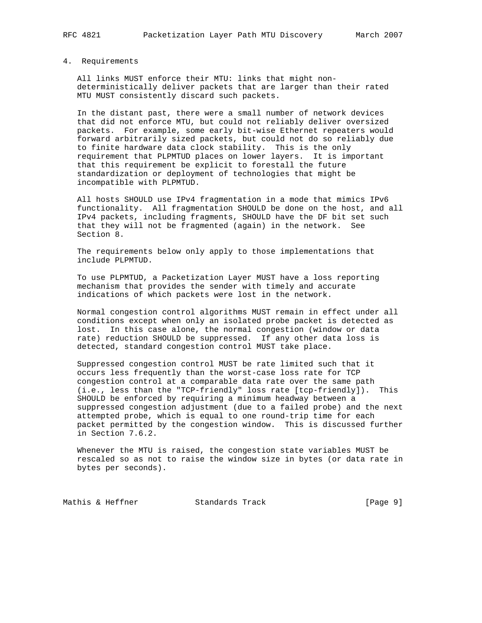## 4. Requirements

 All links MUST enforce their MTU: links that might non deterministically deliver packets that are larger than their rated MTU MUST consistently discard such packets.

 In the distant past, there were a small number of network devices that did not enforce MTU, but could not reliably deliver oversized packets. For example, some early bit-wise Ethernet repeaters would forward arbitrarily sized packets, but could not do so reliably due to finite hardware data clock stability. This is the only requirement that PLPMTUD places on lower layers. It is important that this requirement be explicit to forestall the future standardization or deployment of technologies that might be incompatible with PLPMTUD.

 All hosts SHOULD use IPv4 fragmentation in a mode that mimics IPv6 functionality. All fragmentation SHOULD be done on the host, and all IPv4 packets, including fragments, SHOULD have the DF bit set such that they will not be fragmented (again) in the network. See Section 8.

 The requirements below only apply to those implementations that include PLPMTUD.

 To use PLPMTUD, a Packetization Layer MUST have a loss reporting mechanism that provides the sender with timely and accurate indications of which packets were lost in the network.

 Normal congestion control algorithms MUST remain in effect under all conditions except when only an isolated probe packet is detected as lost. In this case alone, the normal congestion (window or data rate) reduction SHOULD be suppressed. If any other data loss is detected, standard congestion control MUST take place.

 Suppressed congestion control MUST be rate limited such that it occurs less frequently than the worst-case loss rate for TCP congestion control at a comparable data rate over the same path (i.e., less than the "TCP-friendly" loss rate [tcp-friendly]). This SHOULD be enforced by requiring a minimum headway between a suppressed congestion adjustment (due to a failed probe) and the next attempted probe, which is equal to one round-trip time for each packet permitted by the congestion window. This is discussed further in Section 7.6.2.

 Whenever the MTU is raised, the congestion state variables MUST be rescaled so as not to raise the window size in bytes (or data rate in bytes per seconds).

Mathis & Heffner Standards Track [Page 9]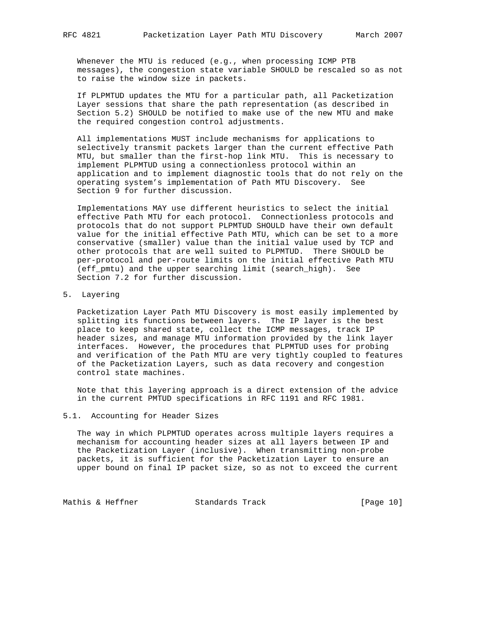Whenever the MTU is reduced (e.g., when processing ICMP PTB messages), the congestion state variable SHOULD be rescaled so as not to raise the window size in packets.

 If PLPMTUD updates the MTU for a particular path, all Packetization Layer sessions that share the path representation (as described in Section 5.2) SHOULD be notified to make use of the new MTU and make the required congestion control adjustments.

 All implementations MUST include mechanisms for applications to selectively transmit packets larger than the current effective Path MTU, but smaller than the first-hop link MTU. This is necessary to implement PLPMTUD using a connectionless protocol within an application and to implement diagnostic tools that do not rely on the operating system's implementation of Path MTU Discovery. See Section 9 for further discussion.

 Implementations MAY use different heuristics to select the initial effective Path MTU for each protocol. Connectionless protocols and protocols that do not support PLPMTUD SHOULD have their own default value for the initial effective Path MTU, which can be set to a more conservative (smaller) value than the initial value used by TCP and other protocols that are well suited to PLPMTUD. There SHOULD be per-protocol and per-route limits on the initial effective Path MTU (eff\_pmtu) and the upper searching limit (search\_high). See Section 7.2 for further discussion.

5. Layering

 Packetization Layer Path MTU Discovery is most easily implemented by splitting its functions between layers. The IP layer is the best place to keep shared state, collect the ICMP messages, track IP header sizes, and manage MTU information provided by the link layer interfaces. However, the procedures that PLPMTUD uses for probing and verification of the Path MTU are very tightly coupled to features of the Packetization Layers, such as data recovery and congestion control state machines.

 Note that this layering approach is a direct extension of the advice in the current PMTUD specifications in RFC 1191 and RFC 1981.

### 5.1. Accounting for Header Sizes

 The way in which PLPMTUD operates across multiple layers requires a mechanism for accounting header sizes at all layers between IP and the Packetization Layer (inclusive). When transmitting non-probe packets, it is sufficient for the Packetization Layer to ensure an upper bound on final IP packet size, so as not to exceed the current

Mathis & Heffner Standards Track [Page 10]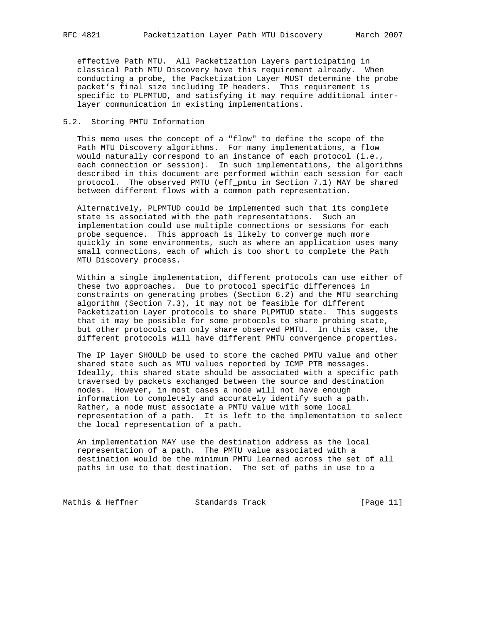effective Path MTU. All Packetization Layers participating in classical Path MTU Discovery have this requirement already. When conducting a probe, the Packetization Layer MUST determine the probe packet's final size including IP headers. This requirement is specific to PLPMTUD, and satisfying it may require additional inter layer communication in existing implementations.

#### 5.2. Storing PMTU Information

 This memo uses the concept of a "flow" to define the scope of the Path MTU Discovery algorithms. For many implementations, a flow would naturally correspond to an instance of each protocol (i.e., each connection or session). In such implementations, the algorithms described in this document are performed within each session for each protocol. The observed PMTU (eff\_pmtu in Section 7.1) MAY be shared between different flows with a common path representation.

 Alternatively, PLPMTUD could be implemented such that its complete state is associated with the path representations. Such an implementation could use multiple connections or sessions for each probe sequence. This approach is likely to converge much more quickly in some environments, such as where an application uses many small connections, each of which is too short to complete the Path MTU Discovery process.

 Within a single implementation, different protocols can use either of these two approaches. Due to protocol specific differences in constraints on generating probes (Section 6.2) and the MTU searching algorithm (Section 7.3), it may not be feasible for different Packetization Layer protocols to share PLPMTUD state. This suggests that it may be possible for some protocols to share probing state, but other protocols can only share observed PMTU. In this case, the different protocols will have different PMTU convergence properties.

 The IP layer SHOULD be used to store the cached PMTU value and other shared state such as MTU values reported by ICMP PTB messages. Ideally, this shared state should be associated with a specific path traversed by packets exchanged between the source and destination nodes. However, in most cases a node will not have enough information to completely and accurately identify such a path. Rather, a node must associate a PMTU value with some local representation of a path. It is left to the implementation to select the local representation of a path.

 An implementation MAY use the destination address as the local representation of a path. The PMTU value associated with a destination would be the minimum PMTU learned across the set of all paths in use to that destination. The set of paths in use to a

Mathis & Heffner Standards Track [Page 11]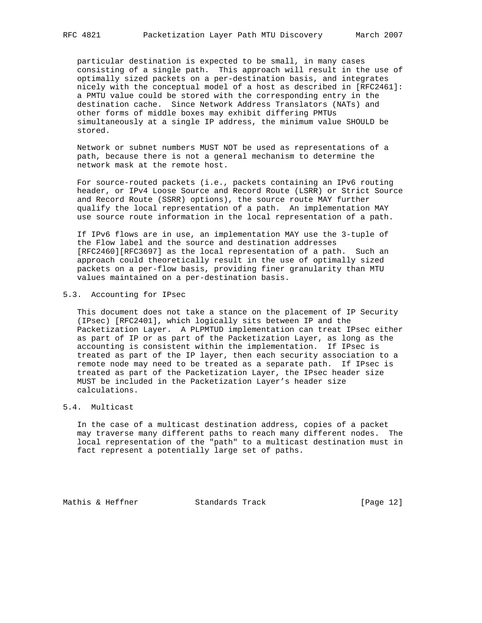particular destination is expected to be small, in many cases consisting of a single path. This approach will result in the use of optimally sized packets on a per-destination basis, and integrates nicely with the conceptual model of a host as described in [RFC2461]: a PMTU value could be stored with the corresponding entry in the destination cache. Since Network Address Translators (NATs) and other forms of middle boxes may exhibit differing PMTUs simultaneously at a single IP address, the minimum value SHOULD be stored.

 Network or subnet numbers MUST NOT be used as representations of a path, because there is not a general mechanism to determine the network mask at the remote host.

 For source-routed packets (i.e., packets containing an IPv6 routing header, or IPv4 Loose Source and Record Route (LSRR) or Strict Source and Record Route (SSRR) options), the source route MAY further qualify the local representation of a path. An implementation MAY use source route information in the local representation of a path.

 If IPv6 flows are in use, an implementation MAY use the 3-tuple of the Flow label and the source and destination addresses [RFC2460][RFC3697] as the local representation of a path. Such an approach could theoretically result in the use of optimally sized packets on a per-flow basis, providing finer granularity than MTU values maintained on a per-destination basis.

#### 5.3. Accounting for IPsec

 This document does not take a stance on the placement of IP Security (IPsec) [RFC2401], which logically sits between IP and the Packetization Layer. A PLPMTUD implementation can treat IPsec either as part of IP or as part of the Packetization Layer, as long as the accounting is consistent within the implementation. If IPsec is treated as part of the IP layer, then each security association to a remote node may need to be treated as a separate path. If IPsec is treated as part of the Packetization Layer, the IPsec header size MUST be included in the Packetization Layer's header size calculations.

## 5.4. Multicast

 In the case of a multicast destination address, copies of a packet may traverse many different paths to reach many different nodes. The local representation of the "path" to a multicast destination must in fact represent a potentially large set of paths.

Mathis & Heffner Standards Track [Page 12]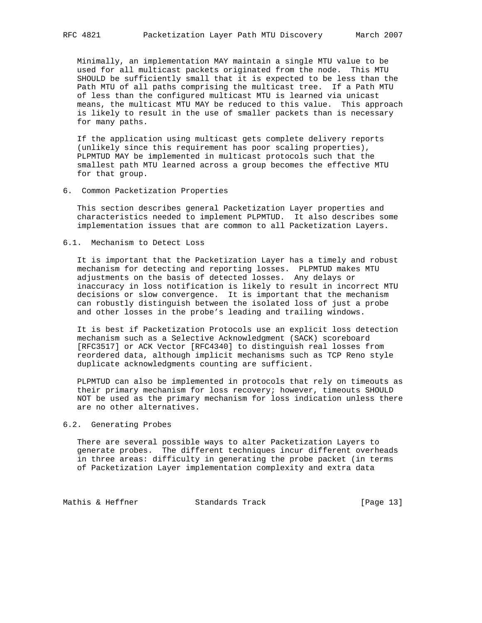Minimally, an implementation MAY maintain a single MTU value to be used for all multicast packets originated from the node. This MTU SHOULD be sufficiently small that it is expected to be less than the Path MTU of all paths comprising the multicast tree. If a Path MTU of less than the configured multicast MTU is learned via unicast means, the multicast MTU MAY be reduced to this value. This approach is likely to result in the use of smaller packets than is necessary for many paths.

 If the application using multicast gets complete delivery reports (unlikely since this requirement has poor scaling properties), PLPMTUD MAY be implemented in multicast protocols such that the smallest path MTU learned across a group becomes the effective MTU for that group.

#### 6. Common Packetization Properties

 This section describes general Packetization Layer properties and characteristics needed to implement PLPMTUD. It also describes some implementation issues that are common to all Packetization Layers.

6.1. Mechanism to Detect Loss

 It is important that the Packetization Layer has a timely and robust mechanism for detecting and reporting losses. PLPMTUD makes MTU adjustments on the basis of detected losses. Any delays or inaccuracy in loss notification is likely to result in incorrect MTU decisions or slow convergence. It is important that the mechanism can robustly distinguish between the isolated loss of just a probe and other losses in the probe's leading and trailing windows.

 It is best if Packetization Protocols use an explicit loss detection mechanism such as a Selective Acknowledgment (SACK) scoreboard [RFC3517] or ACK Vector [RFC4340] to distinguish real losses from reordered data, although implicit mechanisms such as TCP Reno style duplicate acknowledgments counting are sufficient.

 PLPMTUD can also be implemented in protocols that rely on timeouts as their primary mechanism for loss recovery; however, timeouts SHOULD NOT be used as the primary mechanism for loss indication unless there are no other alternatives.

#### 6.2. Generating Probes

 There are several possible ways to alter Packetization Layers to generate probes. The different techniques incur different overheads in three areas: difficulty in generating the probe packet (in terms of Packetization Layer implementation complexity and extra data

Mathis & Heffner Standards Track [Page 13]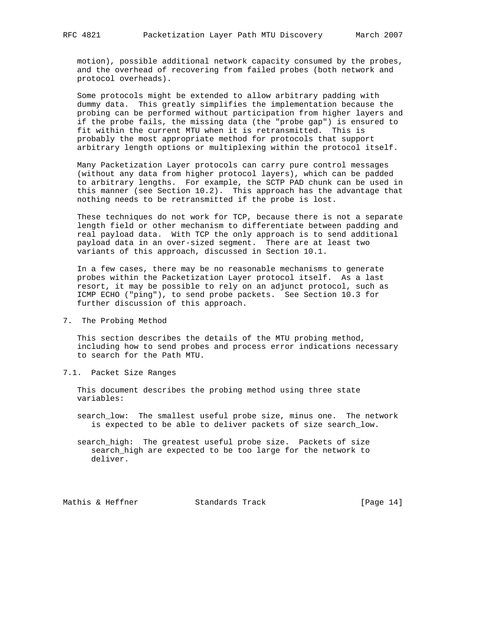motion), possible additional network capacity consumed by the probes, and the overhead of recovering from failed probes (both network and protocol overheads).

 Some protocols might be extended to allow arbitrary padding with dummy data. This greatly simplifies the implementation because the probing can be performed without participation from higher layers and if the probe fails, the missing data (the "probe gap") is ensured to fit within the current MTU when it is retransmitted. This is probably the most appropriate method for protocols that support arbitrary length options or multiplexing within the protocol itself.

 Many Packetization Layer protocols can carry pure control messages (without any data from higher protocol layers), which can be padded to arbitrary lengths. For example, the SCTP PAD chunk can be used in this manner (see Section 10.2). This approach has the advantage that nothing needs to be retransmitted if the probe is lost.

 These techniques do not work for TCP, because there is not a separate length field or other mechanism to differentiate between padding and real payload data. With TCP the only approach is to send additional payload data in an over-sized segment. There are at least two variants of this approach, discussed in Section 10.1.

 In a few cases, there may be no reasonable mechanisms to generate probes within the Packetization Layer protocol itself. As a last resort, it may be possible to rely on an adjunct protocol, such as ICMP ECHO ("ping"), to send probe packets. See Section 10.3 for further discussion of this approach.

7. The Probing Method

 This section describes the details of the MTU probing method, including how to send probes and process error indications necessary to search for the Path MTU.

7.1. Packet Size Ranges

 This document describes the probing method using three state variables:

- search\_low: The smallest useful probe size, minus one. The network is expected to be able to deliver packets of size search\_low.
- search\_high: The greatest useful probe size. Packets of size search\_high are expected to be too large for the network to deliver.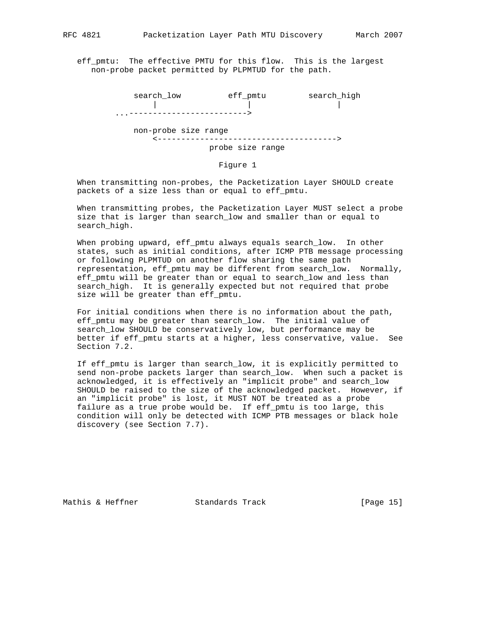eff\_pmtu: The effective PMTU for this flow. This is the largest non-probe packet permitted by PLPMTUD for the path.

| search low |                      | eff pmtu         | search_high |
|------------|----------------------|------------------|-------------|
|            |                      |                  |             |
| $\ddots$ . |                      |                  |             |
|            | non-probe size range |                  |             |
|            |                      | probe size range |             |
|            |                      |                  |             |

#### Figure 1

 When transmitting non-probes, the Packetization Layer SHOULD create packets of a size less than or equal to eff\_pmtu.

 When transmitting probes, the Packetization Layer MUST select a probe size that is larger than search\_low and smaller than or equal to search\_high.

 When probing upward, eff\_pmtu always equals search\_low. In other states, such as initial conditions, after ICMP PTB message processing or following PLPMTUD on another flow sharing the same path representation, eff\_pmtu may be different from search\_low. Normally, eff\_pmtu will be greater than or equal to search\_low and less than search\_high. It is generally expected but not required that probe size will be greater than eff pmtu.

 For initial conditions when there is no information about the path, eff\_pmtu may be greater than search\_low. The initial value of search\_low SHOULD be conservatively low, but performance may be better if eff\_pmtu starts at a higher, less conservative, value. See Section 7.2.

 If eff\_pmtu is larger than search\_low, it is explicitly permitted to send non-probe packets larger than search low. When such a packet is acknowledged, it is effectively an "implicit probe" and search\_low SHOULD be raised to the size of the acknowledged packet. However, if an "implicit probe" is lost, it MUST NOT be treated as a probe failure as a true probe would be. If eff\_pmtu is too large, this condition will only be detected with ICMP PTB messages or black hole discovery (see Section 7.7).

Mathis & Heffner Standards Track [Page 15]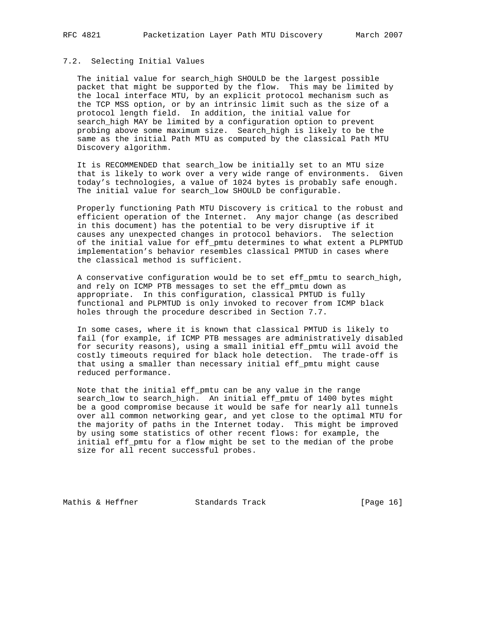## 7.2. Selecting Initial Values

 The initial value for search\_high SHOULD be the largest possible packet that might be supported by the flow. This may be limited by the local interface MTU, by an explicit protocol mechanism such as the TCP MSS option, or by an intrinsic limit such as the size of a protocol length field. In addition, the initial value for search\_high MAY be limited by a configuration option to prevent probing above some maximum size. Search\_high is likely to be the same as the initial Path MTU as computed by the classical Path MTU Discovery algorithm.

 It is RECOMMENDED that search\_low be initially set to an MTU size that is likely to work over a very wide range of environments. Given today's technologies, a value of 1024 bytes is probably safe enough. The initial value for search\_low SHOULD be configurable.

 Properly functioning Path MTU Discovery is critical to the robust and efficient operation of the Internet. Any major change (as described in this document) has the potential to be very disruptive if it causes any unexpected changes in protocol behaviors. The selection of the initial value for eff\_pmtu determines to what extent a PLPMTUD implementation's behavior resembles classical PMTUD in cases where the classical method is sufficient.

A conservative configuration would be to set eff\_pmtu to search\_high, and rely on ICMP PTB messages to set the eff\_pmtu down as appropriate. In this configuration, classical PMTUD is fully functional and PLPMTUD is only invoked to recover from ICMP black holes through the procedure described in Section 7.7.

 In some cases, where it is known that classical PMTUD is likely to fail (for example, if ICMP PTB messages are administratively disabled for security reasons), using a small initial eff\_pmtu will avoid the costly timeouts required for black hole detection. The trade-off is that using a smaller than necessary initial eff\_pmtu might cause reduced performance.

 Note that the initial eff\_pmtu can be any value in the range search\_low to search\_high. An initial eff\_pmtu of 1400 bytes might be a good compromise because it would be safe for nearly all tunnels over all common networking gear, and yet close to the optimal MTU for the majority of paths in the Internet today. This might be improved by using some statistics of other recent flows: for example, the initial eff\_pmtu for a flow might be set to the median of the probe size for all recent successful probes.

Mathis & Heffner Standards Track [Page 16]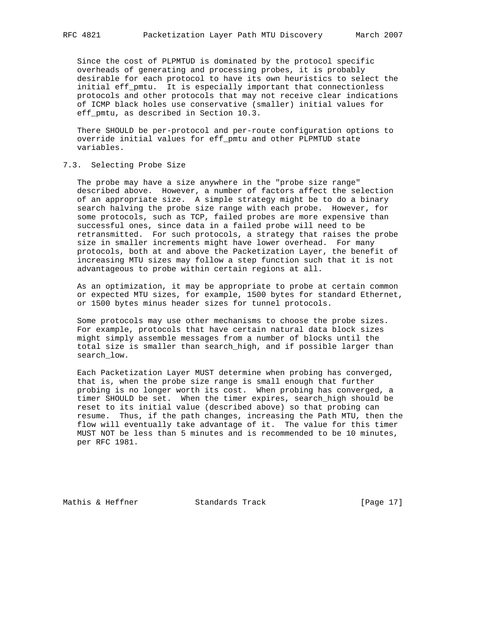Since the cost of PLPMTUD is dominated by the protocol specific overheads of generating and processing probes, it is probably desirable for each protocol to have its own heuristics to select the initial eff\_pmtu. It is especially important that connectionless protocols and other protocols that may not receive clear indications of ICMP black holes use conservative (smaller) initial values for eff\_pmtu, as described in Section 10.3.

 There SHOULD be per-protocol and per-route configuration options to override initial values for eff\_pmtu and other PLPMTUD state variables.

### 7.3. Selecting Probe Size

 The probe may have a size anywhere in the "probe size range" described above. However, a number of factors affect the selection of an appropriate size. A simple strategy might be to do a binary search halving the probe size range with each probe. However, for some protocols, such as TCP, failed probes are more expensive than successful ones, since data in a failed probe will need to be retransmitted. For such protocols, a strategy that raises the probe size in smaller increments might have lower overhead. For many protocols, both at and above the Packetization Layer, the benefit of increasing MTU sizes may follow a step function such that it is not advantageous to probe within certain regions at all.

 As an optimization, it may be appropriate to probe at certain common or expected MTU sizes, for example, 1500 bytes for standard Ethernet, or 1500 bytes minus header sizes for tunnel protocols.

 Some protocols may use other mechanisms to choose the probe sizes. For example, protocols that have certain natural data block sizes might simply assemble messages from a number of blocks until the total size is smaller than search\_high, and if possible larger than search\_low.

 Each Packetization Layer MUST determine when probing has converged, that is, when the probe size range is small enough that further probing is no longer worth its cost. When probing has converged, a timer SHOULD be set. When the timer expires, search\_high should be reset to its initial value (described above) so that probing can resume. Thus, if the path changes, increasing the Path MTU, then the flow will eventually take advantage of it. The value for this timer MUST NOT be less than 5 minutes and is recommended to be 10 minutes, per RFC 1981.

Mathis & Heffner Standards Track [Page 17]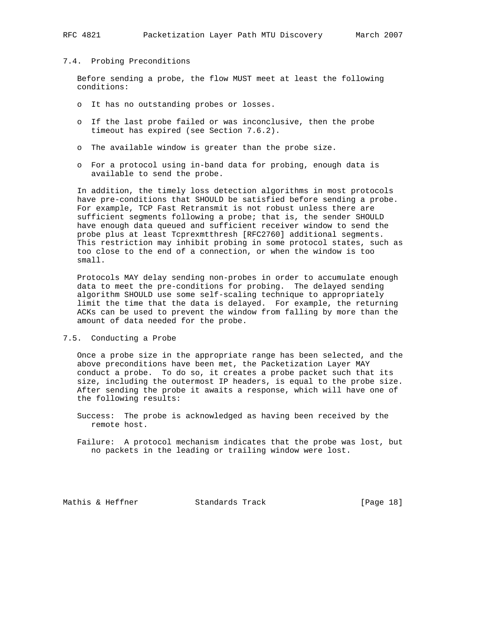#### 7.4. Probing Preconditions

 Before sending a probe, the flow MUST meet at least the following conditions:

- o It has no outstanding probes or losses.
- o If the last probe failed or was inconclusive, then the probe timeout has expired (see Section 7.6.2).
- o The available window is greater than the probe size.
- o For a protocol using in-band data for probing, enough data is available to send the probe.

 In addition, the timely loss detection algorithms in most protocols have pre-conditions that SHOULD be satisfied before sending a probe. For example, TCP Fast Retransmit is not robust unless there are sufficient segments following a probe; that is, the sender SHOULD have enough data queued and sufficient receiver window to send the probe plus at least Tcprexmtthresh [RFC2760] additional segments. This restriction may inhibit probing in some protocol states, such as too close to the end of a connection, or when the window is too small.

 Protocols MAY delay sending non-probes in order to accumulate enough data to meet the pre-conditions for probing. The delayed sending algorithm SHOULD use some self-scaling technique to appropriately limit the time that the data is delayed. For example, the returning ACKs can be used to prevent the window from falling by more than the amount of data needed for the probe.

#### 7.5. Conducting a Probe

 Once a probe size in the appropriate range has been selected, and the above preconditions have been met, the Packetization Layer MAY conduct a probe. To do so, it creates a probe packet such that its size, including the outermost IP headers, is equal to the probe size. After sending the probe it awaits a response, which will have one of the following results:

 Success: The probe is acknowledged as having been received by the remote host.

 Failure: A protocol mechanism indicates that the probe was lost, but no packets in the leading or trailing window were lost.

Mathis & Heffner Standards Track [Page 18]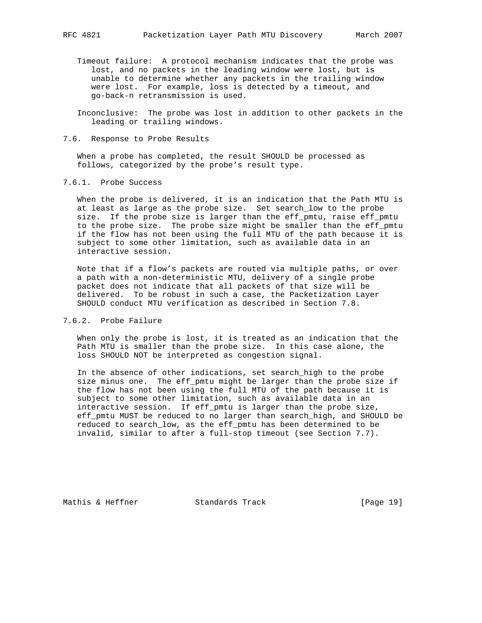- Timeout failure: A protocol mechanism indicates that the probe was lost, and no packets in the leading window were lost, but is unable to determine whether any packets in the trailing window were lost. For example, loss is detected by a timeout, and go-back-n retransmission is used.
- Inconclusive: The probe was lost in addition to other packets in the leading or trailing windows.
- 7.6. Response to Probe Results

 When a probe has completed, the result SHOULD be processed as follows, categorized by the probe's result type.

7.6.1. Probe Success

 When the probe is delivered, it is an indication that the Path MTU is at least as large as the probe size. Set search\_low to the probe size. If the probe size is larger than the eff\_pmtu, raise eff\_pmtu to the probe size. The probe size might be smaller than the eff\_pmtu if the flow has not been using the full MTU of the path because it is subject to some other limitation, such as available data in an interactive session.

 Note that if a flow's packets are routed via multiple paths, or over a path with a non-deterministic MTU, delivery of a single probe packet does not indicate that all packets of that size will be delivered. To be robust in such a case, the Packetization Layer SHOULD conduct MTU verification as described in Section 7.8.

## 7.6.2. Probe Failure

 When only the probe is lost, it is treated as an indication that the Path MTU is smaller than the probe size. In this case alone, the loss SHOULD NOT be interpreted as congestion signal.

 In the absence of other indications, set search\_high to the probe size minus one. The eff\_pmtu might be larger than the probe size if the flow has not been using the full MTU of the path because it is subject to some other limitation, such as available data in an interactive session. If eff\_pmtu is larger than the probe size, eff\_pmtu MUST be reduced to no larger than search\_high, and SHOULD be reduced to search\_low, as the eff\_pmtu has been determined to be invalid, similar to after a full-stop timeout (see Section 7.7).

Mathis & Heffner Standards Track [Page 19]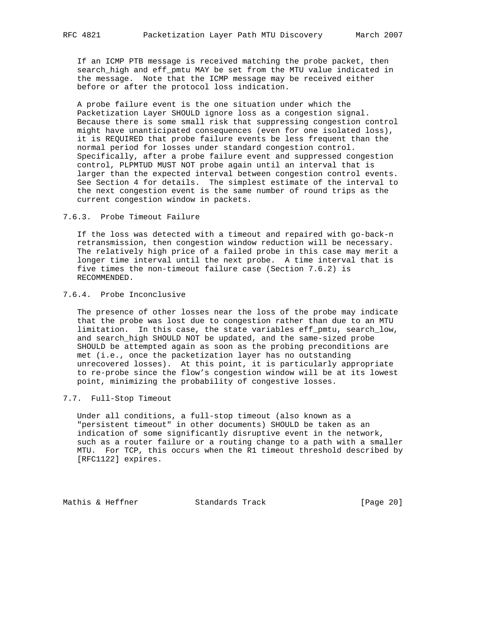If an ICMP PTB message is received matching the probe packet, then search\_high and eff\_pmtu MAY be set from the MTU value indicated in the message. Note that the ICMP message may be received either before or after the protocol loss indication.

 A probe failure event is the one situation under which the Packetization Layer SHOULD ignore loss as a congestion signal. Because there is some small risk that suppressing congestion control might have unanticipated consequences (even for one isolated loss), it is REQUIRED that probe failure events be less frequent than the normal period for losses under standard congestion control. Specifically, after a probe failure event and suppressed congestion control, PLPMTUD MUST NOT probe again until an interval that is larger than the expected interval between congestion control events. See Section 4 for details. The simplest estimate of the interval to the next congestion event is the same number of round trips as the current congestion window in packets.

7.6.3. Probe Timeout Failure

 If the loss was detected with a timeout and repaired with go-back-n retransmission, then congestion window reduction will be necessary. The relatively high price of a failed probe in this case may merit a longer time interval until the next probe. A time interval that is five times the non-timeout failure case (Section 7.6.2) is RECOMMENDED.

7.6.4. Probe Inconclusive

 The presence of other losses near the loss of the probe may indicate that the probe was lost due to congestion rather than due to an MTU limitation. In this case, the state variables eff\_pmtu, search\_low, and search\_high SHOULD NOT be updated, and the same-sized probe SHOULD be attempted again as soon as the probing preconditions are met (i.e., once the packetization layer has no outstanding unrecovered losses). At this point, it is particularly appropriate to re-probe since the flow's congestion window will be at its lowest point, minimizing the probability of congestive losses.

7.7. Full-Stop Timeout

 Under all conditions, a full-stop timeout (also known as a "persistent timeout" in other documents) SHOULD be taken as an indication of some significantly disruptive event in the network, such as a router failure or a routing change to a path with a smaller MTU. For TCP, this occurs when the R1 timeout threshold described by [RFC1122] expires.

Mathis & Heffner Standards Track [Page 20]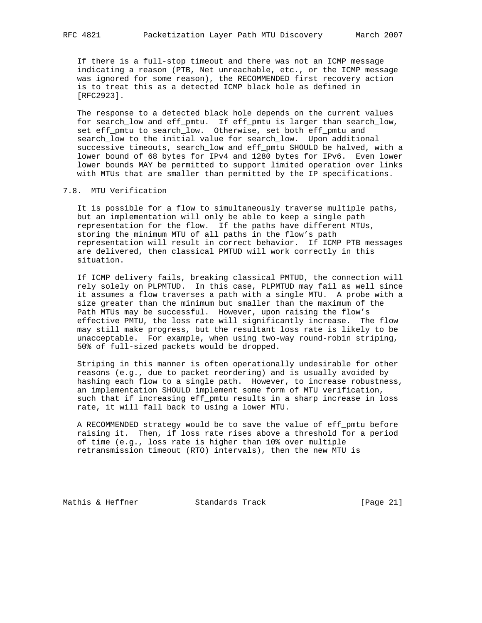If there is a full-stop timeout and there was not an ICMP message indicating a reason (PTB, Net unreachable, etc., or the ICMP message was ignored for some reason), the RECOMMENDED first recovery action is to treat this as a detected ICMP black hole as defined in [RFC2923].

 The response to a detected black hole depends on the current values for search\_low and eff\_pmtu. If eff\_pmtu is larger than search\_low, set eff\_pmtu to search\_low. Otherwise, set both eff\_pmtu and search\_low to the initial value for search\_low. Upon additional successive timeouts, search\_low and eff\_pmtu SHOULD be halved, with a lower bound of 68 bytes for IPv4 and 1280 bytes for IPv6. Even lower lower bounds MAY be permitted to support limited operation over links with MTUs that are smaller than permitted by the IP specifications.

#### 7.8. MTU Verification

 It is possible for a flow to simultaneously traverse multiple paths, but an implementation will only be able to keep a single path representation for the flow. If the paths have different MTUs, storing the minimum MTU of all paths in the flow's path representation will result in correct behavior. If ICMP PTB messages are delivered, then classical PMTUD will work correctly in this situation.

 If ICMP delivery fails, breaking classical PMTUD, the connection will rely solely on PLPMTUD. In this case, PLPMTUD may fail as well since it assumes a flow traverses a path with a single MTU. A probe with a size greater than the minimum but smaller than the maximum of the Path MTUs may be successful. However, upon raising the flow's effective PMTU, the loss rate will significantly increase. The flow may still make progress, but the resultant loss rate is likely to be unacceptable. For example, when using two-way round-robin striping, 50% of full-sized packets would be dropped.

 Striping in this manner is often operationally undesirable for other reasons (e.g., due to packet reordering) and is usually avoided by hashing each flow to a single path. However, to increase robustness, an implementation SHOULD implement some form of MTU verification, such that if increasing eff\_pmtu results in a sharp increase in loss rate, it will fall back to using a lower MTU.

 A RECOMMENDED strategy would be to save the value of eff\_pmtu before raising it. Then, if loss rate rises above a threshold for a period of time (e.g., loss rate is higher than 10% over multiple retransmission timeout (RTO) intervals), then the new MTU is

Mathis & Heffner Standards Track [Page 21]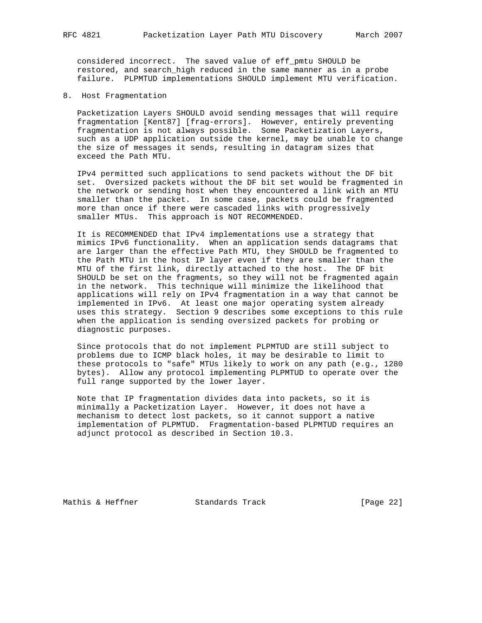considered incorrect. The saved value of eff\_pmtu SHOULD be restored, and search\_high reduced in the same manner as in a probe failure. PLPMTUD implementations SHOULD implement MTU verification.

8. Host Fragmentation

 Packetization Layers SHOULD avoid sending messages that will require fragmentation [Kent87] [frag-errors]. However, entirely preventing fragmentation is not always possible. Some Packetization Layers, such as a UDP application outside the kernel, may be unable to change the size of messages it sends, resulting in datagram sizes that exceed the Path MTU.

 IPv4 permitted such applications to send packets without the DF bit set. Oversized packets without the DF bit set would be fragmented in the network or sending host when they encountered a link with an MTU smaller than the packet. In some case, packets could be fragmented more than once if there were cascaded links with progressively smaller MTUs. This approach is NOT RECOMMENDED.

 It is RECOMMENDED that IPv4 implementations use a strategy that mimics IPv6 functionality. When an application sends datagrams that are larger than the effective Path MTU, they SHOULD be fragmented to the Path MTU in the host IP layer even if they are smaller than the MTU of the first link, directly attached to the host. The DF bit SHOULD be set on the fragments, so they will not be fragmented again in the network. This technique will minimize the likelihood that applications will rely on IPv4 fragmentation in a way that cannot be implemented in IPv6. At least one major operating system already uses this strategy. Section 9 describes some exceptions to this rule when the application is sending oversized packets for probing or diagnostic purposes.

 Since protocols that do not implement PLPMTUD are still subject to problems due to ICMP black holes, it may be desirable to limit to these protocols to "safe" MTUs likely to work on any path (e.g., 1280 bytes). Allow any protocol implementing PLPMTUD to operate over the full range supported by the lower layer.

 Note that IP fragmentation divides data into packets, so it is minimally a Packetization Layer. However, it does not have a mechanism to detect lost packets, so it cannot support a native implementation of PLPMTUD. Fragmentation-based PLPMTUD requires an adjunct protocol as described in Section 10.3.

Mathis & Heffner Standards Track [Page 22]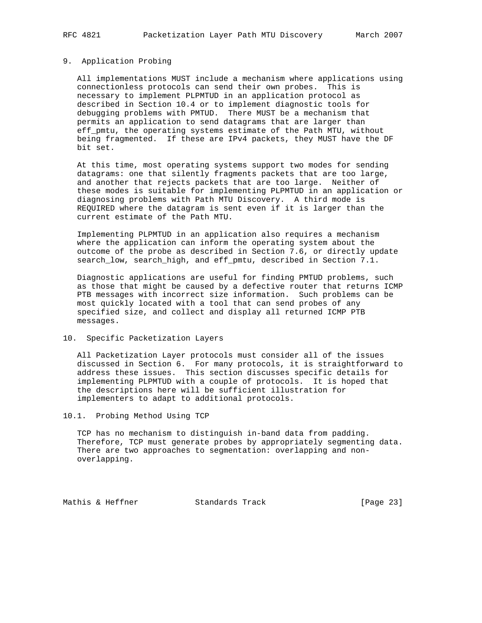#### 9. Application Probing

 All implementations MUST include a mechanism where applications using connectionless protocols can send their own probes. This is necessary to implement PLPMTUD in an application protocol as described in Section 10.4 or to implement diagnostic tools for debugging problems with PMTUD. There MUST be a mechanism that permits an application to send datagrams that are larger than eff\_pmtu, the operating systems estimate of the Path MTU, without being fragmented. If these are IPv4 packets, they MUST have the DF bit set.

 At this time, most operating systems support two modes for sending datagrams: one that silently fragments packets that are too large, and another that rejects packets that are too large. Neither of these modes is suitable for implementing PLPMTUD in an application or diagnosing problems with Path MTU Discovery. A third mode is REQUIRED where the datagram is sent even if it is larger than the current estimate of the Path MTU.

 Implementing PLPMTUD in an application also requires a mechanism where the application can inform the operating system about the outcome of the probe as described in Section 7.6, or directly update search\_low, search\_high, and eff\_pmtu, described in Section 7.1.

 Diagnostic applications are useful for finding PMTUD problems, such as those that might be caused by a defective router that returns ICMP PTB messages with incorrect size information. Such problems can be most quickly located with a tool that can send probes of any specified size, and collect and display all returned ICMP PTB messages.

10. Specific Packetization Layers

 All Packetization Layer protocols must consider all of the issues discussed in Section 6. For many protocols, it is straightforward to address these issues. This section discusses specific details for implementing PLPMTUD with a couple of protocols. It is hoped that the descriptions here will be sufficient illustration for implementers to adapt to additional protocols.

10.1. Probing Method Using TCP

 TCP has no mechanism to distinguish in-band data from padding. Therefore, TCP must generate probes by appropriately segmenting data. There are two approaches to segmentation: overlapping and non overlapping.

Mathis & Heffner Standards Track [Page 23]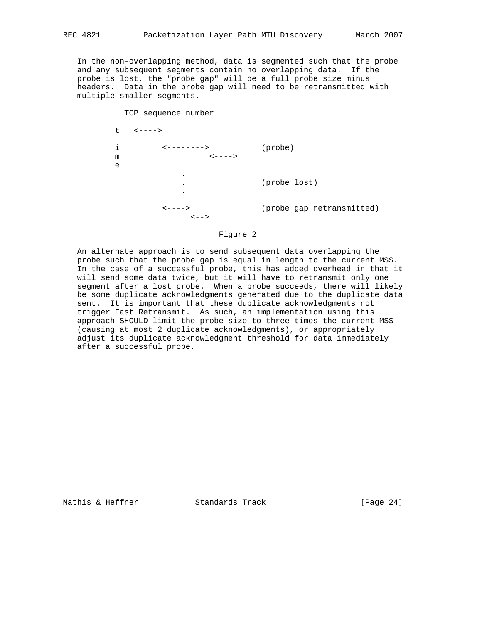In the non-overlapping method, data is segmented such that the probe and any subsequent segments contain no overlapping data. If the probe is lost, the "probe gap" will be a full probe size minus headers. Data in the probe gap will need to be retransmitted with multiple smaller segments.



### Figure 2

 An alternate approach is to send subsequent data overlapping the probe such that the probe gap is equal in length to the current MSS. In the case of a successful probe, this has added overhead in that it will send some data twice, but it will have to retransmit only one segment after a lost probe. When a probe succeeds, there will likely be some duplicate acknowledgments generated due to the duplicate data sent. It is important that these duplicate acknowledgments not trigger Fast Retransmit. As such, an implementation using this approach SHOULD limit the probe size to three times the current MSS (causing at most 2 duplicate acknowledgments), or appropriately adjust its duplicate acknowledgment threshold for data immediately after a successful probe.

Mathis & Heffner  $\sim$  Standards Track [Page 24]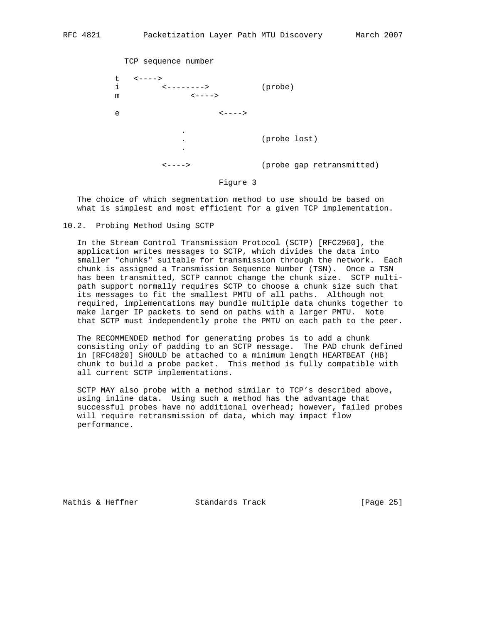TCP sequence number t <----> i <--------> (probe) m  $\leftarrow--->$  e <----> . . (probe lost) . <----> (probe gap retransmitted)

Figure 3

 The choice of which segmentation method to use should be based on what is simplest and most efficient for a given TCP implementation.

10.2. Probing Method Using SCTP

 In the Stream Control Transmission Protocol (SCTP) [RFC2960], the application writes messages to SCTP, which divides the data into smaller "chunks" suitable for transmission through the network. Each chunk is assigned a Transmission Sequence Number (TSN). Once a TSN has been transmitted, SCTP cannot change the chunk size. SCTP multi path support normally requires SCTP to choose a chunk size such that its messages to fit the smallest PMTU of all paths. Although not required, implementations may bundle multiple data chunks together to make larger IP packets to send on paths with a larger PMTU. Note that SCTP must independently probe the PMTU on each path to the peer.

 The RECOMMENDED method for generating probes is to add a chunk consisting only of padding to an SCTP message. The PAD chunk defined in [RFC4820] SHOULD be attached to a minimum length HEARTBEAT (HB) chunk to build a probe packet. This method is fully compatible with all current SCTP implementations.

 SCTP MAY also probe with a method similar to TCP's described above, using inline data. Using such a method has the advantage that successful probes have no additional overhead; however, failed probes will require retransmission of data, which may impact flow performance.

Mathis & Heffner Standards Track [Page 25]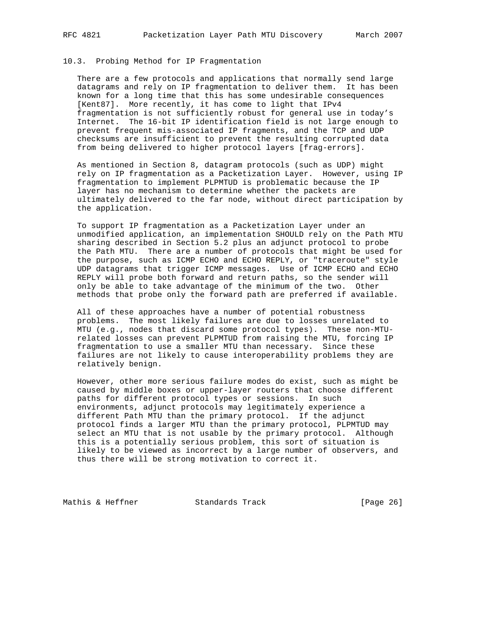#### 10.3. Probing Method for IP Fragmentation

 There are a few protocols and applications that normally send large datagrams and rely on IP fragmentation to deliver them. It has been known for a long time that this has some undesirable consequences [Kent87]. More recently, it has come to light that IPv4 fragmentation is not sufficiently robust for general use in today's Internet. The 16-bit IP identification field is not large enough to prevent frequent mis-associated IP fragments, and the TCP and UDP checksums are insufficient to prevent the resulting corrupted data from being delivered to higher protocol layers [frag-errors].

 As mentioned in Section 8, datagram protocols (such as UDP) might rely on IP fragmentation as a Packetization Layer. However, using IP fragmentation to implement PLPMTUD is problematic because the IP layer has no mechanism to determine whether the packets are ultimately delivered to the far node, without direct participation by the application.

 To support IP fragmentation as a Packetization Layer under an unmodified application, an implementation SHOULD rely on the Path MTU sharing described in Section 5.2 plus an adjunct protocol to probe the Path MTU. There are a number of protocols that might be used for the purpose, such as ICMP ECHO and ECHO REPLY, or "traceroute" style UDP datagrams that trigger ICMP messages. Use of ICMP ECHO and ECHO REPLY will probe both forward and return paths, so the sender will only be able to take advantage of the minimum of the two. Other methods that probe only the forward path are preferred if available.

 All of these approaches have a number of potential robustness problems. The most likely failures are due to losses unrelated to MTU (e.g., nodes that discard some protocol types). These non-MTU related losses can prevent PLPMTUD from raising the MTU, forcing IP fragmentation to use a smaller MTU than necessary. Since these failures are not likely to cause interoperability problems they are relatively benign.

 However, other more serious failure modes do exist, such as might be caused by middle boxes or upper-layer routers that choose different paths for different protocol types or sessions. In such environments, adjunct protocols may legitimately experience a different Path MTU than the primary protocol. If the adjunct protocol finds a larger MTU than the primary protocol, PLPMTUD may select an MTU that is not usable by the primary protocol. Although this is a potentially serious problem, this sort of situation is likely to be viewed as incorrect by a large number of observers, and thus there will be strong motivation to correct it.

Mathis & Heffner Standards Track [Page 26]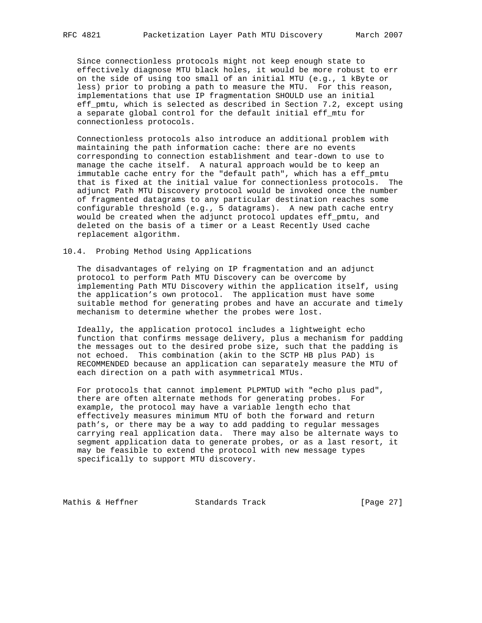Since connectionless protocols might not keep enough state to effectively diagnose MTU black holes, it would be more robust to err on the side of using too small of an initial MTU (e.g., 1 kByte or less) prior to probing a path to measure the MTU. For this reason, implementations that use IP fragmentation SHOULD use an initial eff\_pmtu, which is selected as described in Section 7.2, except using a separate global control for the default initial eff\_mtu for connectionless protocols.

 Connectionless protocols also introduce an additional problem with maintaining the path information cache: there are no events corresponding to connection establishment and tear-down to use to manage the cache itself. A natural approach would be to keep an immutable cache entry for the "default path", which has a eff\_pmtu that is fixed at the initial value for connectionless protocols. The adjunct Path MTU Discovery protocol would be invoked once the number of fragmented datagrams to any particular destination reaches some configurable threshold (e.g., 5 datagrams). A new path cache entry would be created when the adjunct protocol updates eff\_pmtu, and deleted on the basis of a timer or a Least Recently Used cache replacement algorithm.

#### 10.4. Probing Method Using Applications

 The disadvantages of relying on IP fragmentation and an adjunct protocol to perform Path MTU Discovery can be overcome by implementing Path MTU Discovery within the application itself, using the application's own protocol. The application must have some suitable method for generating probes and have an accurate and timely mechanism to determine whether the probes were lost.

 Ideally, the application protocol includes a lightweight echo function that confirms message delivery, plus a mechanism for padding the messages out to the desired probe size, such that the padding is not echoed. This combination (akin to the SCTP HB plus PAD) is RECOMMENDED because an application can separately measure the MTU of each direction on a path with asymmetrical MTUs.

 For protocols that cannot implement PLPMTUD with "echo plus pad", there are often alternate methods for generating probes. For example, the protocol may have a variable length echo that effectively measures minimum MTU of both the forward and return path's, or there may be a way to add padding to regular messages carrying real application data. There may also be alternate ways to segment application data to generate probes, or as a last resort, it may be feasible to extend the protocol with new message types specifically to support MTU discovery.

Mathis & Heffner Standards Track [Page 27]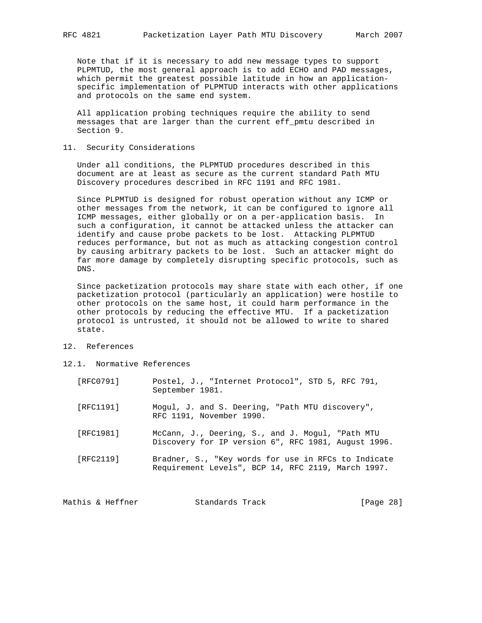Note that if it is necessary to add new message types to support PLPMTUD, the most general approach is to add ECHO and PAD messages, which permit the greatest possible latitude in how an application specific implementation of PLPMTUD interacts with other applications and protocols on the same end system.

 All application probing techniques require the ability to send messages that are larger than the current eff\_pmtu described in Section 9.

11. Security Considerations

 Under all conditions, the PLPMTUD procedures described in this document are at least as secure as the current standard Path MTU Discovery procedures described in RFC 1191 and RFC 1981.

 Since PLPMTUD is designed for robust operation without any ICMP or other messages from the network, it can be configured to ignore all ICMP messages, either globally or on a per-application basis. In such a configuration, it cannot be attacked unless the attacker can identify and cause probe packets to be lost. Attacking PLPMTUD reduces performance, but not as much as attacking congestion control by causing arbitrary packets to be lost. Such an attacker might do far more damage by completely disrupting specific protocols, such as DNS.

 Since packetization protocols may share state with each other, if one packetization protocol (particularly an application) were hostile to other protocols on the same host, it could harm performance in the other protocols by reducing the effective MTU. If a packetization protocol is untrusted, it should not be allowed to write to shared state.

- 12. References
- 12.1. Normative References

| [RFC0791] | Postel, J., "Internet Protocol", STD 5, RFC 791,<br>September 1981.                                       |
|-----------|-----------------------------------------------------------------------------------------------------------|
| [RFC1191] | Mogul, J. and S. Deering, "Path MTU discovery",<br>RFC 1191, November 1990.                               |
| [RFC1981] | McCann, J., Deering, S., and J. Mogul, "Path MTU<br>Discovery for IP version 6", RFC 1981, August 1996.   |
| [RFC2119] | Bradner, S., "Key words for use in RFCs to Indicate<br>Requirement Levels", BCP 14, RFC 2119, March 1997. |

Mathis & Heffner Standards Track [Page 28]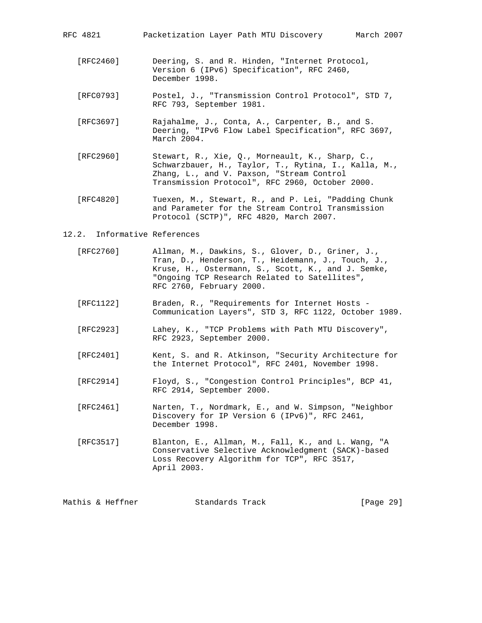RFC 4821 Packetization Layer Path MTU Discovery March 2007

- [RFC2460] Deering, S. and R. Hinden, "Internet Protocol, Version 6 (IPv6) Specification", RFC 2460, December 1998.
- [RFC0793] Postel, J., "Transmission Control Protocol", STD 7, RFC 793, September 1981.
- [RFC3697] Rajahalme, J., Conta, A., Carpenter, B., and S. Deering, "IPv6 Flow Label Specification", RFC 3697, March 2004.
- [RFC2960] Stewart, R., Xie, Q., Morneault, K., Sharp, C., Schwarzbauer, H., Taylor, T., Rytina, I., Kalla, M., Zhang, L., and V. Paxson, "Stream Control Transmission Protocol", RFC 2960, October 2000.
- [RFC4820] Tuexen, M., Stewart, R., and P. Lei, "Padding Chunk and Parameter for the Stream Control Transmission Protocol (SCTP)", RFC 4820, March 2007.

#### 12.2. Informative References

- [RFC2760] Allman, M., Dawkins, S., Glover, D., Griner, J., Tran, D., Henderson, T., Heidemann, J., Touch, J., Kruse, H., Ostermann, S., Scott, K., and J. Semke, "Ongoing TCP Research Related to Satellites", RFC 2760, February 2000.
- [RFC1122] Braden, R., "Requirements for Internet Hosts Communication Layers", STD 3, RFC 1122, October 1989.
- [RFC2923] Lahey, K., "TCP Problems with Path MTU Discovery", RFC 2923, September 2000.
- [RFC2401] Kent, S. and R. Atkinson, "Security Architecture for the Internet Protocol", RFC 2401, November 1998.
- [RFC2914] Floyd, S., "Congestion Control Principles", BCP 41, RFC 2914, September 2000.
- [RFC2461] Narten, T., Nordmark, E., and W. Simpson, "Neighbor Discovery for IP Version 6 (IPv6)", RFC 2461, December 1998.
- [RFC3517] Blanton, E., Allman, M., Fall, K., and L. Wang, "A Conservative Selective Acknowledgment (SACK)-based Loss Recovery Algorithm for TCP", RFC 3517, April 2003.

Mathis & Heffner Standards Track [Page 29]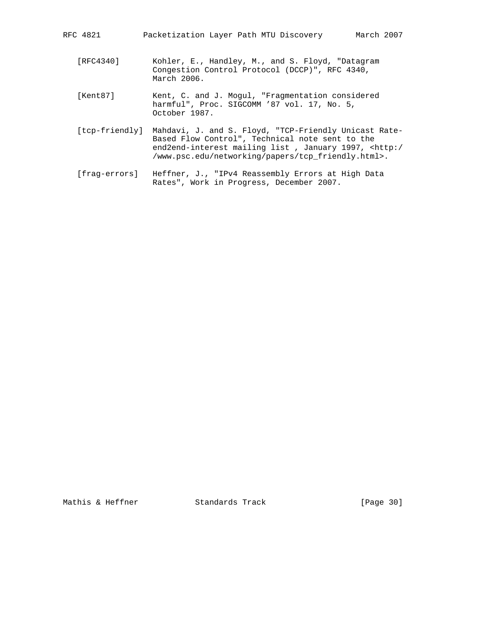- [RFC4340] Kohler, E., Handley, M., and S. Floyd, "Datagram Congestion Control Protocol (DCCP)", RFC 4340, March 2006.
- [Kent87] Kent, C. and J. Mogul, "Fragmentation considered harmful", Proc. SIGCOMM '87 vol. 17, No. 5, October 1987.
- [tcp-friendly] Mahdavi, J. and S. Floyd, "TCP-Friendly Unicast Rate- Based Flow Control", Technical note sent to the end2end-interest mailing list , January 1997, <http:/ /www.psc.edu/networking/papers/tcp\_friendly.html>.
- [frag-errors] Heffner, J., "IPv4 Reassembly Errors at High Data Rates", Work in Progress, December 2007.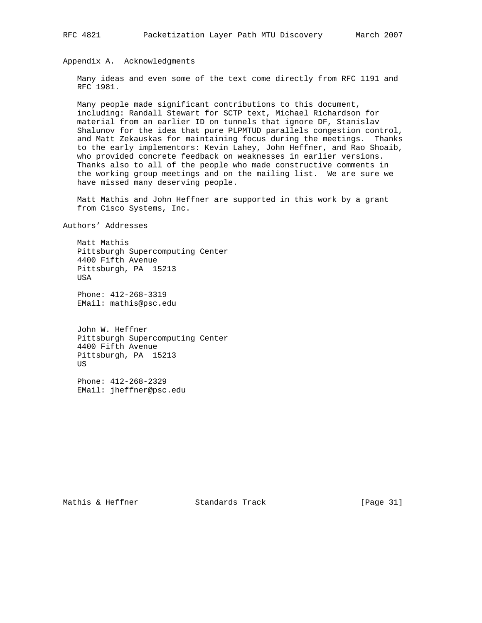Appendix A. Acknowledgments

 Many ideas and even some of the text come directly from RFC 1191 and RFC 1981.

 Many people made significant contributions to this document, including: Randall Stewart for SCTP text, Michael Richardson for material from an earlier ID on tunnels that ignore DF, Stanislav Shalunov for the idea that pure PLPMTUD parallels congestion control, and Matt Zekauskas for maintaining focus during the meetings. Thanks to the early implementors: Kevin Lahey, John Heffner, and Rao Shoaib, who provided concrete feedback on weaknesses in earlier versions. Thanks also to all of the people who made constructive comments in the working group meetings and on the mailing list. We are sure we have missed many deserving people.

 Matt Mathis and John Heffner are supported in this work by a grant from Cisco Systems, Inc.

Authors' Addresses

 Matt Mathis Pittsburgh Supercomputing Center 4400 Fifth Avenue Pittsburgh, PA 15213 USA

 Phone: 412-268-3319 EMail: mathis@psc.edu

 John W. Heffner Pittsburgh Supercomputing Center 4400 Fifth Avenue Pittsburgh, PA 15213 US

 Phone: 412-268-2329 EMail: jheffner@psc.edu

Mathis & Heffner Standards Track [Page 31]